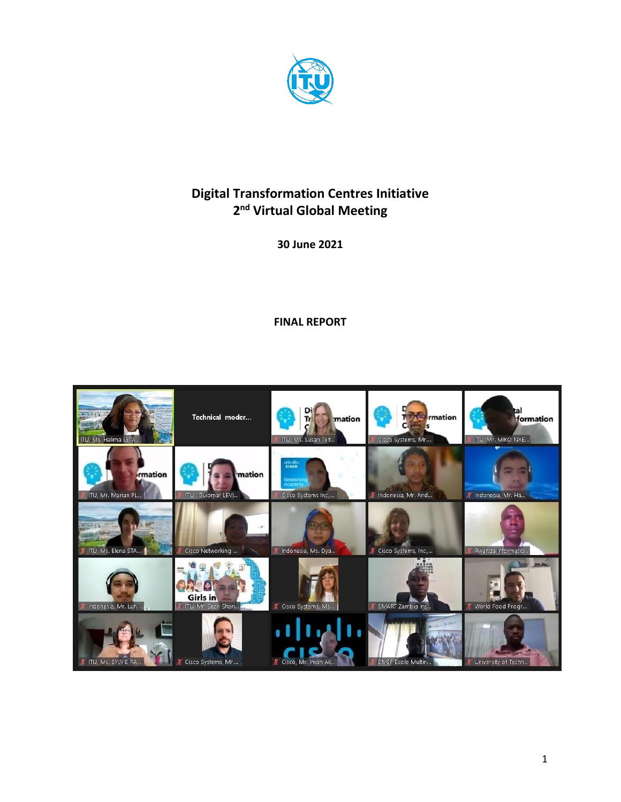

# **Digital Transformation Centres Initiative 2 nd Virtual Global Meeting**

**30 June 2021**

**FINAL REPORT**

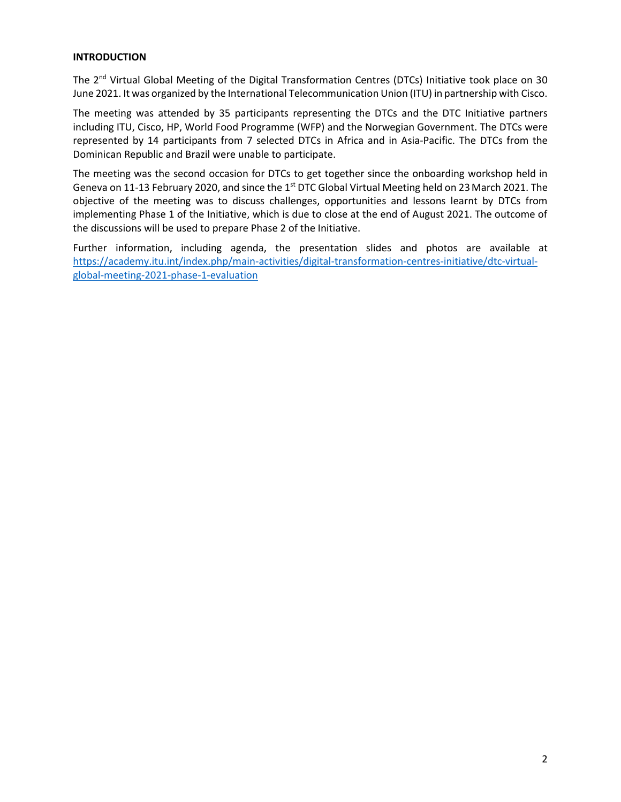# **INTRODUCTION**

The 2<sup>nd</sup> Virtual Global Meeting of the Digital Transformation Centres (DTCs) Initiative took place on 30 June 2021. It was organized by the International Telecommunication Union (ITU) in partnership with Cisco.

The meeting was attended by 35 participants representing the DTCs and the DTC Initiative partners including ITU, Cisco, HP, World Food Programme (WFP) and the Norwegian Government. The DTCs were represented by 14 participants from 7 selected DTCs in Africa and in Asia-Pacific. The DTCs from the Dominican Republic and Brazil were unable to participate.

The meeting was the second occasion for DTCs to get together since the onboarding workshop held in Geneva on 11-13 February 2020, and since the 1<sup>st</sup> DTC Global Virtual Meeting held on 23 March 2021. The objective of the meeting was to discuss challenges, opportunities and lessons learnt by DTCs from implementing Phase 1 of the Initiative, which is due to close at the end of August 2021. The outcome of the discussions will be used to prepare Phase 2 of the Initiative.

Further information, including agenda, the presentation slides and photos are available at [https://academy.itu.int/index.php/main-activities/digital-transformation-centres-initiative/dtc-virtual](https://academy.itu.int/index.php/main-activities/digital-transformation-centres-initiative/dtc-virtual-global-meeting-2021-phase-1-evaluation)[global-meeting-2021-phase-1-evaluation](https://academy.itu.int/index.php/main-activities/digital-transformation-centres-initiative/dtc-virtual-global-meeting-2021-phase-1-evaluation)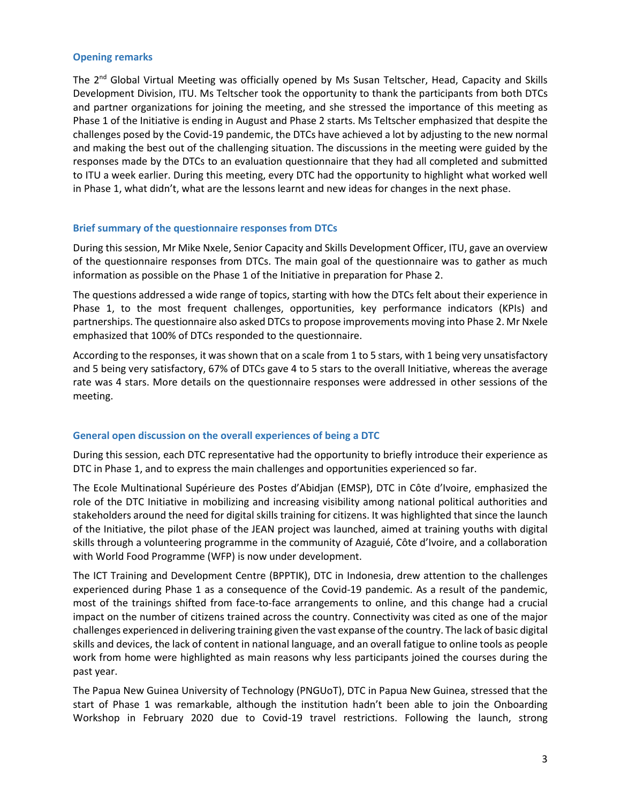#### **Opening remarks**

The 2<sup>nd</sup> Global Virtual Meeting was officially opened by Ms Susan Teltscher, Head, Capacity and Skills Development Division, ITU. Ms Teltscher took the opportunity to thank the participants from both DTCs and partner organizations for joining the meeting, and she stressed the importance of this meeting as Phase 1 of the Initiative is ending in August and Phase 2 starts. Ms Teltscher emphasized that despite the challenges posed by the Covid-19 pandemic, the DTCs have achieved a lot by adjusting to the new normal and making the best out of the challenging situation. The discussions in the meeting were guided by the responses made by the DTCs to an evaluation questionnaire that they had all completed and submitted to ITU a week earlier. During this meeting, every DTC had the opportunity to highlight what worked well in Phase 1, what didn't, what are the lessons learnt and new ideas for changes in the next phase.

# **Brief summary of the questionnaire responses from DTCs**

During this session, Mr Mike Nxele, Senior Capacity and Skills Development Officer, ITU, gave an overview of the questionnaire responses from DTCs. The main goal of the questionnaire was to gather as much information as possible on the Phase 1 of the Initiative in preparation for Phase 2.

The questions addressed a wide range of topics, starting with how the DTCs felt about their experience in Phase 1, to the most frequent challenges, opportunities, key performance indicators (KPIs) and partnerships. The questionnaire also asked DTCs to propose improvements moving into Phase 2. Mr Nxele emphasized that 100% of DTCs responded to the questionnaire.

According to the responses, it was shown that on a scale from 1 to 5 stars, with 1 being very unsatisfactory and 5 being very satisfactory, 67% of DTCs gave 4 to 5 stars to the overall Initiative, whereas the average rate was 4 stars. More details on the questionnaire responses were addressed in other sessions of the meeting.

# **General open discussion on the overall experiences of being a DTC**

During this session, each DTC representative had the opportunity to briefly introduce their experience as DTC in Phase 1, and to express the main challenges and opportunities experienced so far.

The Ecole Multinational Supérieure des Postes d'Abidjan (EMSP), DTC in Côte d'Ivoire, emphasized the role of the DTC Initiative in mobilizing and increasing visibility among national political authorities and stakeholders around the need for digital skills training for citizens. It was highlighted that since the launch of the Initiative, the pilot phase of the JEAN project was launched, aimed at training youths with digital skills through a volunteering programme in the community of Azaguié, Côte d'Ivoire, and a collaboration with World Food Programme (WFP) is now under development.

The ICT Training and Development Centre (BPPTIK), DTC in Indonesia, drew attention to the challenges experienced during Phase 1 as a consequence of the Covid-19 pandemic. As a result of the pandemic, most of the trainings shifted from face-to-face arrangements to online, and this change had a crucial impact on the number of citizens trained across the country. Connectivity was cited as one of the major challenges experienced in delivering training given the vast expanse of the country. The lack of basic digital skills and devices, the lack of content in national language, and an overall fatigue to online tools as people work from home were highlighted as main reasons why less participants joined the courses during the past year.

The Papua New Guinea University of Technology (PNGUoT), DTC in Papua New Guinea, stressed that the start of Phase 1 was remarkable, although the institution hadn't been able to join the Onboarding Workshop in February 2020 due to Covid-19 travel restrictions. Following the launch, strong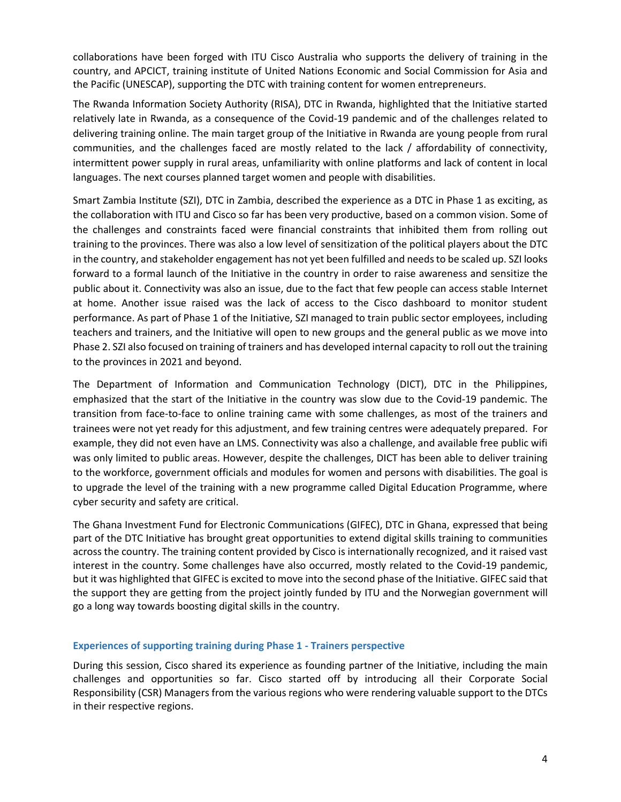collaborations have been forged with ITU Cisco Australia who supports the delivery of training in the country, and APCICT, training institute of United Nations Economic and Social Commission for Asia and the Pacific (UNESCAP), supporting the DTC with training content for women entrepreneurs.

The Rwanda Information Society Authority (RISA), DTC in Rwanda, highlighted that the Initiative started relatively late in Rwanda, as a consequence of the Covid-19 pandemic and of the challenges related to delivering training online. The main target group of the Initiative in Rwanda are young people from rural communities, and the challenges faced are mostly related to the lack / affordability of connectivity, intermittent power supply in rural areas, unfamiliarity with online platforms and lack of content in local languages. The next courses planned target women and people with disabilities.

Smart Zambia Institute (SZI), DTC in Zambia, described the experience as a DTC in Phase 1 as exciting, as the collaboration with ITU and Cisco so far has been very productive, based on a common vision. Some of the challenges and constraints faced were financial constraints that inhibited them from rolling out training to the provinces. There was also a low level of sensitization of the political players about the DTC in the country, and stakeholder engagement has not yet been fulfilled and needs to be scaled up. SZI looks forward to a formal launch of the Initiative in the country in order to raise awareness and sensitize the public about it. Connectivity was also an issue, due to the fact that few people can access stable Internet at home. Another issue raised was the lack of access to the Cisco dashboard to monitor student performance. As part of Phase 1 of the Initiative, SZI managed to train public sector employees, including teachers and trainers, and the Initiative will open to new groups and the general public as we move into Phase 2. SZI also focused on training of trainers and has developed internal capacity to roll out the training to the provinces in 2021 and beyond.

The Department of Information and Communication Technology (DICT), DTC in the Philippines, emphasized that the start of the Initiative in the country was slow due to the Covid-19 pandemic. The transition from face-to-face to online training came with some challenges, as most of the trainers and trainees were not yet ready for this adjustment, and few training centres were adequately prepared. For example, they did not even have an LMS. Connectivity was also a challenge, and available free public wifi was only limited to public areas. However, despite the challenges, DICT has been able to deliver training to the workforce, government officials and modules for women and persons with disabilities. The goal is to upgrade the level of the training with a new programme called Digital Education Programme, where cyber security and safety are critical.

The Ghana Investment Fund for Electronic Communications (GIFEC), DTC in Ghana, expressed that being part of the DTC Initiative has brought great opportunities to extend digital skills training to communities across the country. The training content provided by Cisco is internationally recognized, and it raised vast interest in the country. Some challenges have also occurred, mostly related to the Covid-19 pandemic, but it was highlighted that GIFEC is excited to move into the second phase of the Initiative. GIFEC said that the support they are getting from the project jointly funded by ITU and the Norwegian government will go a long way towards boosting digital skills in the country.

# **Experiences of supporting training during Phase 1 - Trainers perspective**

During this session, Cisco shared its experience as founding partner of the Initiative, including the main challenges and opportunities so far. Cisco started off by introducing all their Corporate Social Responsibility (CSR) Managers from the various regions who were rendering valuable support to the DTCs in their respective regions.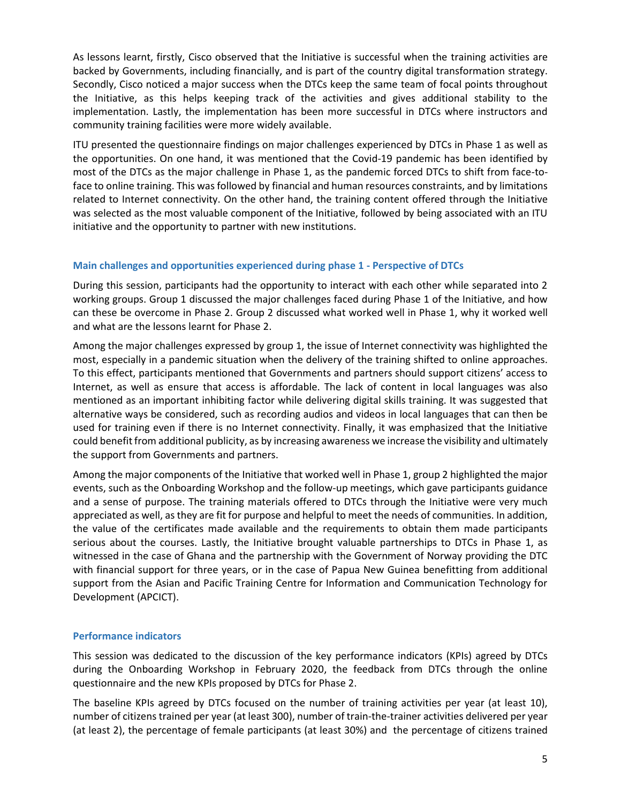As lessons learnt, firstly, Cisco observed that the Initiative is successful when the training activities are backed by Governments, including financially, and is part of the country digital transformation strategy. Secondly, Cisco noticed a major success when the DTCs keep the same team of focal points throughout the Initiative, as this helps keeping track of the activities and gives additional stability to the implementation. Lastly, the implementation has been more successful in DTCs where instructors and community training facilities were more widely available.

ITU presented the questionnaire findings on major challenges experienced by DTCs in Phase 1 as well as the opportunities. On one hand, it was mentioned that the Covid-19 pandemic has been identified by most of the DTCs as the major challenge in Phase 1, as the pandemic forced DTCs to shift from face-toface to online training. This was followed by financial and human resources constraints, and by limitations related to Internet connectivity. On the other hand, the training content offered through the Initiative was selected as the most valuable component of the Initiative, followed by being associated with an ITU initiative and the opportunity to partner with new institutions.

# **Main challenges and opportunities experienced during phase 1 - Perspective of DTCs**

During this session, participants had the opportunity to interact with each other while separated into 2 working groups. Group 1 discussed the major challenges faced during Phase 1 of the Initiative, and how can these be overcome in Phase 2. Group 2 discussed what worked well in Phase 1, why it worked well and what are the lessons learnt for Phase 2.

Among the major challenges expressed by group 1, the issue of Internet connectivity was highlighted the most, especially in a pandemic situation when the delivery of the training shifted to online approaches. To this effect, participants mentioned that Governments and partners should support citizens' access to Internet, as well as ensure that access is affordable. The lack of content in local languages was also mentioned as an important inhibiting factor while delivering digital skills training. It was suggested that alternative ways be considered, such as recording audios and videos in local languages that can then be used for training even if there is no Internet connectivity. Finally, it was emphasized that the Initiative could benefit from additional publicity, as by increasing awareness we increase the visibility and ultimately the support from Governments and partners.

Among the major components of the Initiative that worked well in Phase 1, group 2 highlighted the major events, such as the Onboarding Workshop and the follow-up meetings, which gave participants guidance and a sense of purpose. The training materials offered to DTCs through the Initiative were very much appreciated as well, as they are fit for purpose and helpful to meet the needs of communities. In addition, the value of the certificates made available and the requirements to obtain them made participants serious about the courses. Lastly, the Initiative brought valuable partnerships to DTCs in Phase 1, as witnessed in the case of Ghana and the partnership with the Government of Norway providing the DTC with financial support for three years, or in the case of Papua New Guinea benefitting from additional support from the Asian and Pacific Training Centre for Information and Communication Technology for Development (APCICT).

# **Performance indicators**

This session was dedicated to the discussion of the key performance indicators (KPIs) agreed by DTCs during the Onboarding Workshop in February 2020, the feedback from DTCs through the online questionnaire and the new KPIs proposed by DTCs for Phase 2.

The baseline KPIs agreed by DTCs focused on the number of training activities per year (at least 10), number of citizens trained per year (at least 300), number of train-the-trainer activities delivered per year (at least 2), the percentage of female participants (at least 30%) and the percentage of citizens trained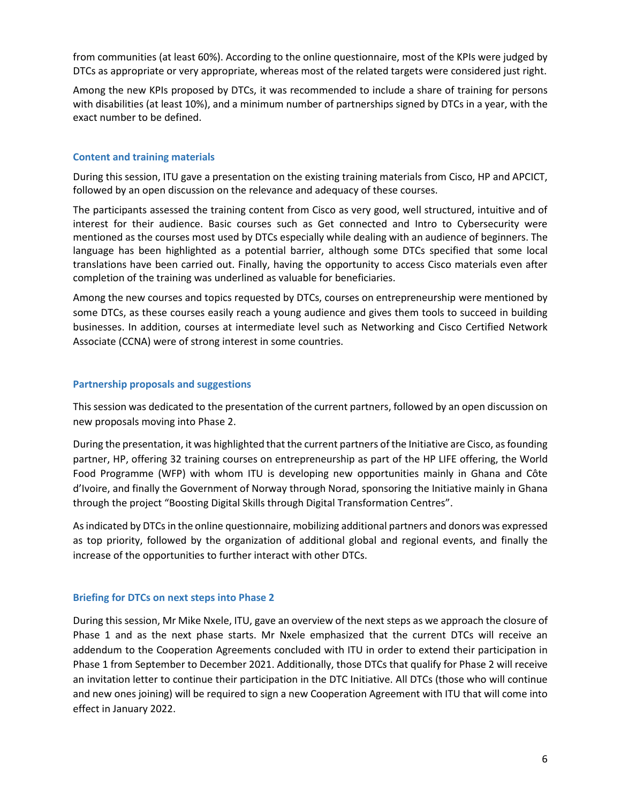from communities (at least 60%). According to the online questionnaire, most of the KPIs were judged by DTCs as appropriate or very appropriate, whereas most of the related targets were considered just right.

Among the new KPIs proposed by DTCs, it was recommended to include a share of training for persons with disabilities (at least 10%), and a minimum number of partnerships signed by DTCs in a year, with the exact number to be defined.

# **Content and training materials**

During this session, ITU gave a presentation on the existing training materials from Cisco, HP and APCICT, followed by an open discussion on the relevance and adequacy of these courses.

The participants assessed the training content from Cisco as very good, well structured, intuitive and of interest for their audience. Basic courses such as Get connected and Intro to Cybersecurity were mentioned as the courses most used by DTCs especially while dealing with an audience of beginners. The language has been highlighted as a potential barrier, although some DTCs specified that some local translations have been carried out. Finally, having the opportunity to access Cisco materials even after completion of the training was underlined as valuable for beneficiaries.

Among the new courses and topics requested by DTCs, courses on entrepreneurship were mentioned by some DTCs, as these courses easily reach a young audience and gives them tools to succeed in building businesses. In addition, courses at intermediate level such as Networking and Cisco Certified Network Associate (CCNA) were of strong interest in some countries.

#### **Partnership proposals and suggestions**

This session was dedicated to the presentation of the current partners, followed by an open discussion on new proposals moving into Phase 2.

During the presentation, it was highlighted that the current partners of the Initiative are Cisco, as founding partner, HP, offering 32 training courses on entrepreneurship as part of the HP LIFE offering, the World Food Programme (WFP) with whom ITU is developing new opportunities mainly in Ghana and Côte d'Ivoire, and finally the Government of Norway through Norad, sponsoring the Initiative mainly in Ghana through the project "Boosting Digital Skills through Digital Transformation Centres".

As indicated by DTCs in the online questionnaire, mobilizing additional partners and donors was expressed as top priority, followed by the organization of additional global and regional events, and finally the increase of the opportunities to further interact with other DTCs.

#### **Briefing for DTCs on next steps into Phase 2**

During this session, Mr Mike Nxele, ITU, gave an overview of the next steps as we approach the closure of Phase 1 and as the next phase starts. Mr Nxele emphasized that the current DTCs will receive an addendum to the Cooperation Agreements concluded with ITU in order to extend their participation in Phase 1 from September to December 2021. Additionally, those DTCs that qualify for Phase 2 will receive an invitation letter to continue their participation in the DTC Initiative. All DTCs (those who will continue and new ones joining) will be required to sign a new Cooperation Agreement with ITU that will come into effect in January 2022.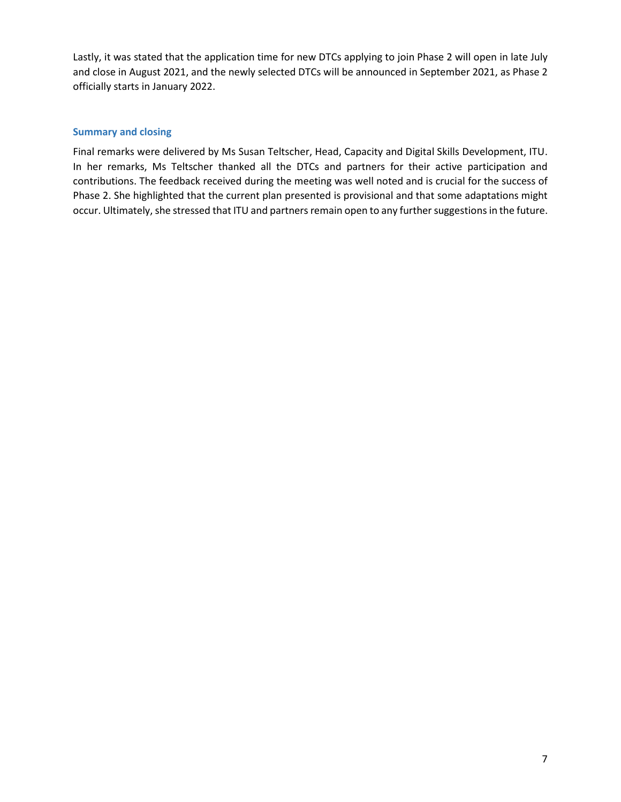Lastly, it was stated that the application time for new DTCs applying to join Phase 2 will open in late July and close in August 2021, and the newly selected DTCs will be announced in September 2021, as Phase 2 officially starts in January 2022.

# **Summary and closing**

Final remarks were delivered by Ms Susan Teltscher, Head, Capacity and Digital Skills Development, ITU. In her remarks, Ms Teltscher thanked all the DTCs and partners for their active participation and contributions. The feedback received during the meeting was well noted and is crucial for the success of Phase 2. She highlighted that the current plan presented is provisional and that some adaptations might occur. Ultimately, she stressed that ITU and partners remain open to any further suggestions in the future.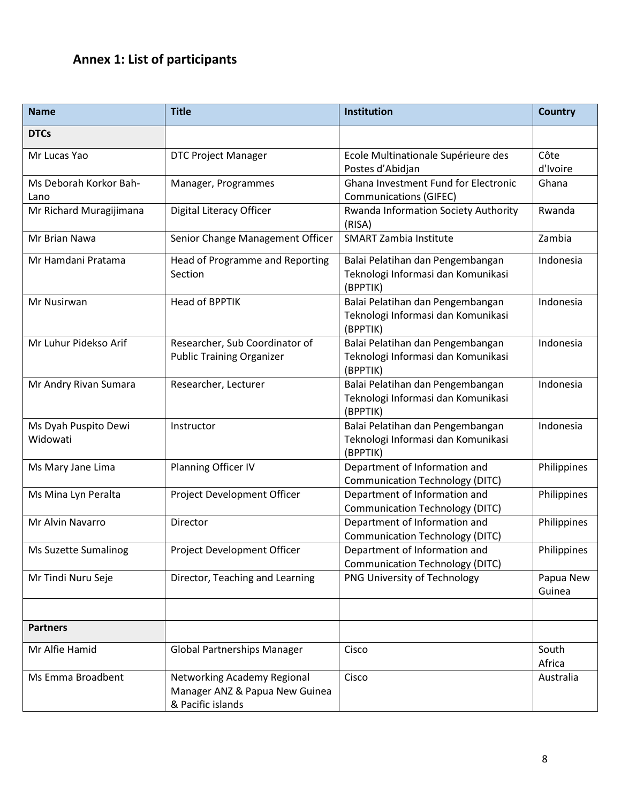# **Annex 1: List of participants**

| <b>Name</b>                      | <b>Title</b>                                                                       | Institution                                                                        | <b>Country</b>      |
|----------------------------------|------------------------------------------------------------------------------------|------------------------------------------------------------------------------------|---------------------|
| <b>DTCs</b>                      |                                                                                    |                                                                                    |                     |
| Mr Lucas Yao                     | <b>DTC Project Manager</b>                                                         | Ecole Multinationale Supérieure des<br>Postes d'Abidjan                            | Côte<br>d'Ivoire    |
| Ms Deborah Korkor Bah-<br>Lano   | Manager, Programmes                                                                | Ghana Investment Fund for Electronic<br><b>Communications (GIFEC)</b>              | Ghana               |
| Mr Richard Muragijimana          | Digital Literacy Officer                                                           | Rwanda Information Society Authority<br>(RISA)                                     | Rwanda              |
| Mr Brian Nawa                    | Senior Change Management Officer                                                   | <b>SMART Zambia Institute</b>                                                      | Zambia              |
| Mr Hamdani Pratama               | Head of Programme and Reporting<br>Section                                         | Balai Pelatihan dan Pengembangan<br>Teknologi Informasi dan Komunikasi<br>(BPPTIK) | Indonesia           |
| Mr Nusirwan                      | <b>Head of BPPTIK</b>                                                              | Balai Pelatihan dan Pengembangan<br>Teknologi Informasi dan Komunikasi<br>(BPPTIK) | Indonesia           |
| Mr Luhur Pidekso Arif            | Researcher, Sub Coordinator of<br><b>Public Training Organizer</b>                 | Balai Pelatihan dan Pengembangan<br>Teknologi Informasi dan Komunikasi<br>(BPPTIK) | Indonesia           |
| Mr Andry Rivan Sumara            | Researcher, Lecturer                                                               | Balai Pelatihan dan Pengembangan<br>Teknologi Informasi dan Komunikasi<br>(BPPTIK) | Indonesia           |
| Ms Dyah Puspito Dewi<br>Widowati | Instructor                                                                         | Balai Pelatihan dan Pengembangan<br>Teknologi Informasi dan Komunikasi<br>(BPPTIK) | Indonesia           |
| Ms Mary Jane Lima                | Planning Officer IV                                                                | Department of Information and<br><b>Communication Technology (DITC)</b>            | Philippines         |
| Ms Mina Lyn Peralta              | Project Development Officer                                                        | Department of Information and<br><b>Communication Technology (DITC)</b>            | Philippines         |
| Mr Alvin Navarro                 | Director                                                                           | Department of Information and<br><b>Communication Technology (DITC)</b>            | Philippines         |
| Ms Suzette Sumalinog             | Project Development Officer                                                        | Department of Information and<br><b>Communication Technology (DITC)</b>            | Philippines         |
| Mr Tindi Nuru Seje               | Director, Teaching and Learning                                                    | PNG University of Technology                                                       | Papua New<br>Guinea |
|                                  |                                                                                    |                                                                                    |                     |
| <b>Partners</b>                  |                                                                                    |                                                                                    |                     |
| Mr Alfie Hamid                   | <b>Global Partnerships Manager</b>                                                 | Cisco                                                                              | South<br>Africa     |
| Ms Emma Broadbent                | Networking Academy Regional<br>Manager ANZ & Papua New Guinea<br>& Pacific islands | Cisco                                                                              | Australia           |